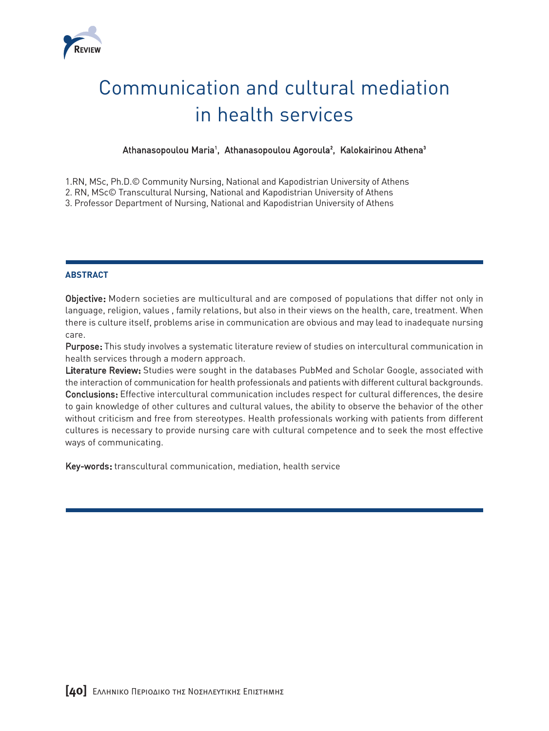

# Communication and cultural mediation in health services

## Athanasopoulou Maria<sup>1</sup>, Athanasopoulou Agoroula<sup>2</sup>, Kalokairinou Athena<sup>3</sup>

1.RN, MSc, Ph.D.© Community Nursing, National and Kapodistrian University of Athens

2. RN, MSc© Transcultural Nursing, National and Kapodistrian University of Athens

3. Professor Department of Nursing, National and Kapodistrian University of Athens

### **ABSTRACT**

Objective: Modern societies are multicultural and are composed of populations that differ not only in language, religion, values , family relations, but also in their views on the health, care, treatment. When there is culture itself, problems arise in communication are obvious and may lead to inadequate nursing care.

Purpose: This study involves a systematic literature review of studies on intercultural communication in health services through a modern approach.

Literature Review: Studies were sought in the databases PubMed and Scholar Google, associated with the interaction of communication for health professionals and patients with different cultural backgrounds. Conclusions: Effective intercultural communication includes respect for cultural differences, the desire to gain knowledge of other cultures and cultural values, the ability to observe the behavior of the other without criticism and free from stereotypes. Health professionals working with patients from different cultures is necessary to provide nursing care with cultural competence and to seek the most effective ways of communicating.

Key-words: transcultural communication, mediation, health service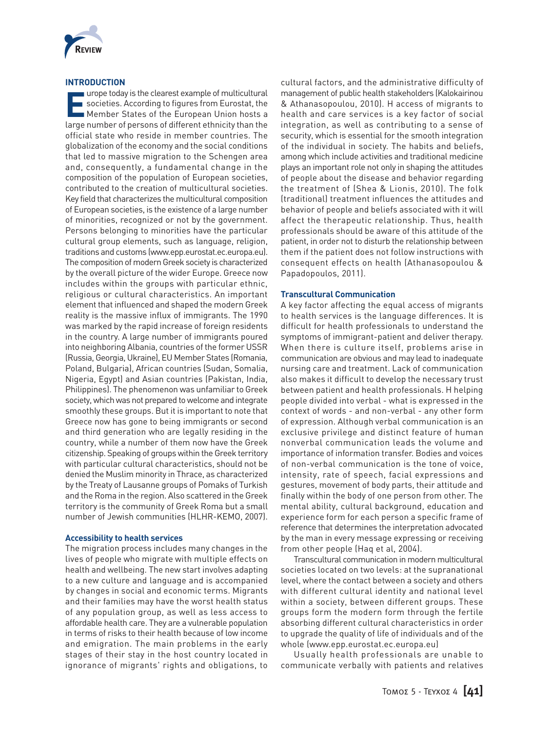

#### **INTRODUCTION**

**Example of multicultural**<br> **E** societies. According to figures from Eurostat, the<br> **EXAMPLE STATES OF the European Union hosts a**<br> **EXAMPLE STATES OF the European Union hosts a** urope today is the clearest example of multicultural societies. According to figures from Eurostat, the large number of persons of different ethnicity than the official state who reside in member countries. The globalization of the economy and the social conditions that led to massive migration to the Schengen area and, consequently, a fundamental change in the composition of the population of European societies, contributed to the creation of multicultural societies. Key field that characterizes the multicultural composition of European societies, is the existence of a large number of minorities, recognized or not by the government. Persons belonging to minorities have the particular cultural group elements, such as language, religion, traditions and customs (www.epp.eurostat.ec.europa.eu). The composition of modern Greek society is characterized by the overall picture of the wider Europe. Greece now includes within the groups with particular ethnic, religious or cultural characteristics. An important element that influenced and shaped the modern Greek reality is the massive influx of immigrants. The 1990 was marked by the rapid increase of foreign residents in the country. A large number of immigrants poured into neighboring Albania, countries of the former USSR (Russia, Georgia, Ukraine), EU Member States (Romania, Poland, Bulgaria), African countries (Sudan, Somalia, Nigeria, Egypt) and Asian countries (Pakistan, India, Philippines). The phenomenon was unfamiliar to Greek society, which was not prepared to welcome and integrate smoothly these groups. But it is important to note that Greece now has gone to being immigrants or second and third generation who are legally residing in the country, while a number of them now have the Greek citizenship. Speaking of groups within the Greek territory with particular cultural characteristics, should not be denied the Muslim minority in Thrace, as characterized by the Treaty of Lausanne groups of Pomaks of Turkish and the Roma in the region. Also scattered in the Greek territory is the community of Greek Roma but a small number of Jewish communities (HLHR-KEMO, 2007).

#### **Accessibility to health services**

The migration process includes many changes in the lives of people who migrate with multiple effects on health and wellbeing. The new start involves adapting to a new culture and language and is accompanied by changes in social and economic terms. Migrants and their families may have the worst health status of any population group, as well as less access to affordable health care. They are a vulnerable population in terms of risks to their health because of low income and emigration. The main problems in the early stages of their stay in the host country located in ignorance of migrants' rights and obligations, to

cultural factors, and the administrative difficulty of management of public health stakeholders (Kalokairinou & Athanasopoulou, 2010). H access of migrants to health and care services is a key factor of social integration, as well as contributing to a sense of security, which is essential for the smooth integration of the individual in society. The habits and beliefs, among which include activities and traditional medicine plays an important role not only in shaping the attitudes of people about the disease and behavior regarding the treatment of (Shea & Lionis, 2010). The folk (traditional) treatment influences the attitudes and behavior of people and beliefs associated with it will affect the therapeutic relationship. Thus, health professionals should be aware of this attitude of the patient, in order not to disturb the relationship between them if the patient does not follow instructions with consequent effects on health (Athanasopoulou & Papadopoulos, 2011).

#### **Transcultural Communication**

A key factor affecting the equal access of migrants to health services is the language differences. It is difficult for health professionals to understand the symptoms of immigrant-patient and deliver therapy. When there is culture itself, problems arise in communication are obvious and may lead to inadequate nursing care and treatment. Lack of communication also makes it difficult to develop the necessary trust between patient and health professionals. H helping people divided into verbal - what is expressed in the context of words - and non-verbal - any other form of expression. Although verbal communication is an exclusive privilege and distinct feature of human nonverbal communication leads the volume and importance of information transfer. Bodies and voices of non-verbal communication is the tone of voice, intensity, rate of speech, facial expressions and gestures, movement of body parts, their attitude and finally within the body of one person from other. The mental ability, cultural background, education and experience form for each person a specific frame of reference that determines the interpretation advocated by the man in every message expressing or receiving from other people (Haq et al, 2004).

Transcultural communication in modern multicultural societies located on two levels: at the supranational level, where the contact between a society and others with different cultural identity and national level within a society, between different groups. These groups form the modern form through the fertile absorbing different cultural characteristics in order to upgrade the quality of life of individuals and of the whole (www.epp.eurostat.ec.europa.eu)

Usually health professionals are unable to communicate verbally with patients and relatives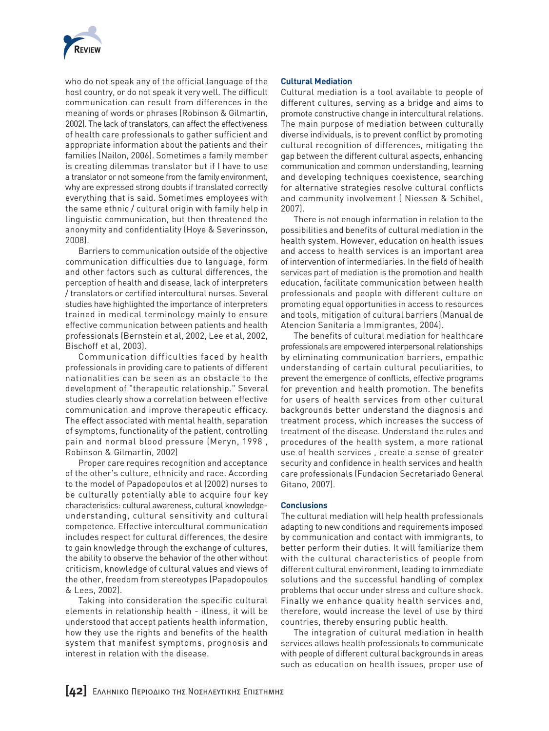

who do not speak any of the official language of the host country, or do not speak it very well. The difficult communication can result from differences in the meaning of words or phrases (Robinson & Gilmartin, 2002). The lack of translators, can affect the effectiveness of health care professionals to gather sufficient and appropriate information about the patients and their families (Nailon, 2006). Sometimes a family member is creating dilemmas translator but if I have to use a translator or not someone from the family environment, why are expressed strong doubts if translated correctly everything that is said. Sometimes employees with the same ethnic / cultural origin with family help in linguistic communication, but then threatened the anonymity and confidentiality (Hoye & Severinsson, 2008).

Barriers to communication outside of the objective communication difficulties due to language, form and other factors such as cultural differences, the perception of health and disease, lack of interpreters / translators or certified intercultural nurses. Several studies have highlighted the importance of interpreters trained in medical terminology mainly to ensure effective communication between patients and health professionals (Bernstein et al, 2002, Lee et al, 2002, Bischoff et al, 2003).

Communication difficulties faced by health professionals in providing care to patients of different nationalities can be seen as an obstacle to the development of "therapeutic relationship." Several studies clearly show a correlation between effective communication and improve therapeutic efficacy. The effect associated with mental health, separation of symptoms, functionality of the patient, controlling pain and normal blood pressure (Meryn, 1998 , Robinson & Gilmartin, 2002)

Proper care requires recognition and acceptance of the other's culture, ethnicity and race. According to the model of Papadopoulos et al (2002) nurses to be culturally potentially able to acquire four key characteristics: cultural awareness, cultural knowledgeunderstanding, cultural sensitivity and cultural competence. Effective intercultural communication includes respect for cultural differences, the desire to gain knowledge through the exchange of cultures, the ability to observe the behavior of the other without criticism, knowledge of cultural values and views of the other, freedom from stereotypes (Papadopoulos & Lees, 2002).

Taking into consideration the specific cultural elements in relationship health - illness, it will be understood that accept patients health information, how they use the rights and benefits of the health system that manifest symptoms, prognosis and interest in relation with the disease.

#### **Cultural Mediation**

Cultural mediation is a tool available to people of different cultures, serving as a bridge and aims to promote constructive change in intercultural relations. The main purpose of mediation between culturally diverse individuals, is to prevent conflict by promoting cultural recognition of differences, mitigating the gap between the different cultural aspects, enhancing communication and common understanding, learning and developing techniques coexistence, searching for alternative strategies resolve cultural conflicts and community involvement ( Niessen & Schibel, 2007).

There is not enough information in relation to the possibilities and benefits of cultural mediation in the health system. However, education on health issues and access to health services is an important area of intervention of intermediaries. In the field of health services part of mediation is the promotion and health education, facilitate communication between health professionals and people with different culture on promoting equal opportunities in access to resources and tools, mitigation of cultural barriers (Manual de Atencion Sanitaria a Immigrantes, 2004).

The benefits of cultural mediation for healthcare professionals are empowered interpersonal relationships by eliminating communication barriers, empathic understanding of certain cultural peculiarities, to prevent the emergence of conflicts, effective programs for prevention and health promotion. The benefits for users of health services from other cultural backgrounds better understand the diagnosis and treatment process, which increases the success of treatment of the disease. Understand the rules and procedures of the health system, a more rational use of health services , create a sense of greater security and confidence in health services and health care professionals (Fundacion Secretariado General Gitano, 2007).

#### **Conclusions**

The cultural mediation will help health professionals adapting to new conditions and requirements imposed by communication and contact with immigrants, to better perform their duties. It will familiarize them with the cultural characteristics of people from different cultural environment, leading to immediate solutions and the successful handling of complex problems that occur under stress and culture shock. Finally we enhance quality health services and, therefore, would increase the level of use by third countries, thereby ensuring public health.

The integration of cultural mediation in health services allows health professionals to communicate with people of different cultural backgrounds in areas such as education on health issues, proper use of